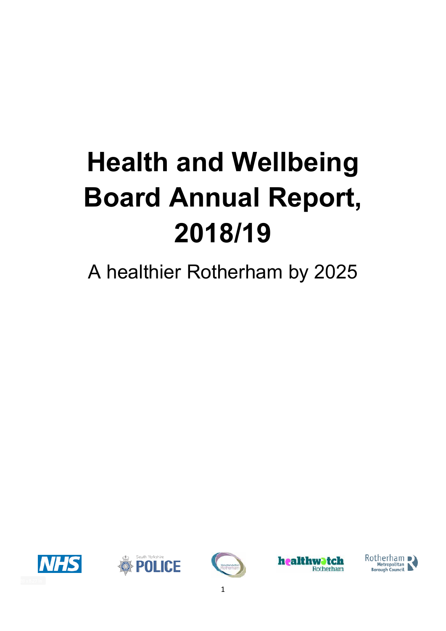# **Health and Wellbeing Board Annual Report, 2018/19**

# A healthier Rotherham by 2025









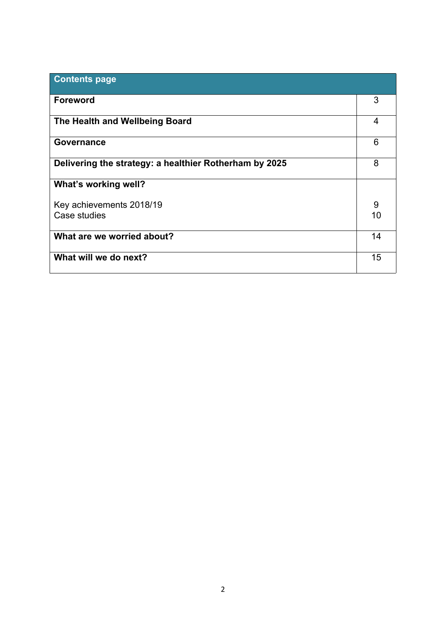| <b>Contents page</b>                                   |                |
|--------------------------------------------------------|----------------|
| <b>Foreword</b>                                        | 3              |
| The Health and Wellbeing Board                         | $\overline{4}$ |
| Governance                                             | 6              |
| Delivering the strategy: a healthier Rotherham by 2025 | 8              |
| What's working well?                                   |                |
| Key achievements 2018/19                               | 9              |
| Case studies                                           | 10             |
| What are we worried about?                             | 14             |
| What will we do next?                                  | 15             |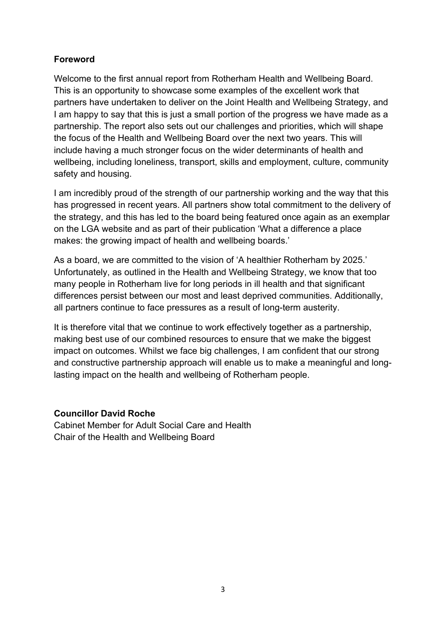# **Foreword**

Welcome to the first annual report from Rotherham Health and Wellbeing Board. This is an opportunity to showcase some examples of the excellent work that partners have undertaken to deliver on the Joint Health and Wellbeing Strategy, and I am happy to say that this is just a small portion of the progress we have made as a partnership. The report also sets out our challenges and priorities, which will shape the focus of the Health and Wellbeing Board over the next two years. This will include having a much stronger focus on the wider determinants of health and wellbeing, including loneliness, transport, skills and employment, culture, community safety and housing.

I am incredibly proud of the strength of our partnership working and the way that this has progressed in recent years. All partners show total commitment to the delivery of the strategy, and this has led to the board being featured once again as an exemplar on the LGA website and as part of their publication 'What a difference a place makes: the growing impact of health and wellbeing boards.'

As a board, we are committed to the vision of 'A healthier Rotherham by 2025.' Unfortunately, as outlined in the Health and Wellbeing Strategy, we know that too many people in Rotherham live for long periods in ill health and that significant differences persist between our most and least deprived communities. Additionally, all partners continue to face pressures as a result of long-term austerity.

It is therefore vital that we continue to work effectively together as a partnership, making best use of our combined resources to ensure that we make the biggest impact on outcomes. Whilst we face big challenges, I am confident that our strong and constructive partnership approach will enable us to make a meaningful and longlasting impact on the health and wellbeing of Rotherham people.

## **Councillor David Roche**

Cabinet Member for Adult Social Care and Health Chair of the Health and Wellbeing Board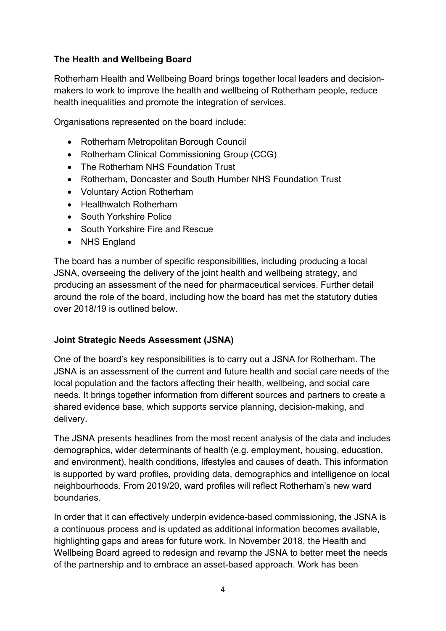# **The Health and Wellbeing Board**

Rotherham Health and Wellbeing Board brings together local leaders and decisionmakers to work to improve the health and wellbeing of Rotherham people, reduce health inequalities and promote the integration of services.

Organisations represented on the board include:

- Rotherham Metropolitan Borough Council
- Rotherham Clinical Commissioning Group (CCG)
- The Rotherham NHS Foundation Trust
- Rotherham, Doncaster and South Humber NHS Foundation Trust
- Voluntary Action Rotherham
- Healthwatch Rotherham
- South Yorkshire Police
- South Yorkshire Fire and Rescue
- NHS England

The board has a number of specific responsibilities, including producing a local JSNA, overseeing the delivery of the joint health and wellbeing strategy, and producing an assessment of the need for pharmaceutical services. Further detail around the role of the board, including how the board has met the statutory duties over 2018/19 is outlined below.

## **Joint Strategic Needs Assessment (JSNA)**

One of the board's key responsibilities is to carry out a JSNA for Rotherham. The JSNA is an assessment of the current and future health and social care needs of the local population and the factors affecting their health, wellbeing, and social care needs. It brings together information from different sources and partners to create a shared evidence base, which supports service planning, decision-making, and delivery.

The JSNA presents headlines from the most recent analysis of the data and includes demographics, wider determinants of health (e.g. employment, housing, education, and environment), health conditions, lifestyles and causes of death. This information is supported by ward profiles, providing data, demographics and intelligence on local neighbourhoods. From 2019/20, ward profiles will reflect Rotherham's new ward boundaries.

In order that it can effectively underpin evidence-based commissioning, the JSNA is a continuous process and is updated as additional information becomes available, highlighting gaps and areas for future work. In November 2018, the Health and Wellbeing Board agreed to redesign and revamp the JSNA to better meet the needs of the partnership and to embrace an asset-based approach. Work has been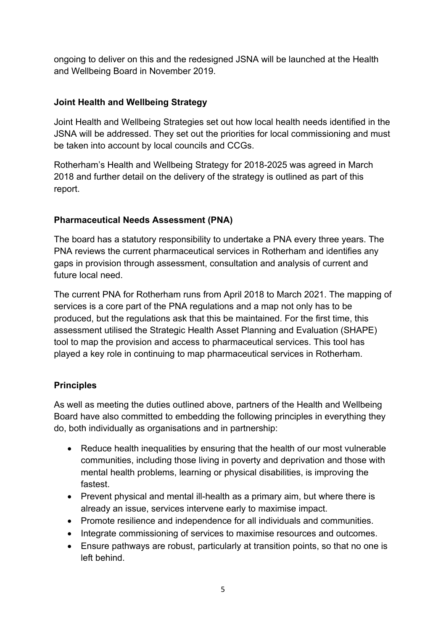ongoing to deliver on this and the redesigned JSNA will be launched at the Health and Wellbeing Board in November 2019.

# **Joint Health and Wellbeing Strategy**

Joint Health and Wellbeing Strategies set out how local health needs identified in the JSNA will be addressed. They set out the priorities for local commissioning and must be taken into account by local councils and CCGs.

Rotherham's Health and Wellbeing Strategy for 2018-2025 was agreed in March 2018 and further detail on the delivery of the strategy is outlined as part of this report.

# **Pharmaceutical Needs Assessment (PNA)**

The board has a statutory responsibility to undertake a PNA every three years. The PNA reviews the current pharmaceutical services in Rotherham and identifies any gaps in provision through assessment, consultation and analysis of current and future local need.

The current PNA for Rotherham runs from April 2018 to March 2021. The mapping of services is a core part of the PNA regulations and a map not only has to be produced, but the regulations ask that this be maintained. For the first time, this assessment utilised the Strategic Health Asset Planning and Evaluation (SHAPE) tool to map the provision and access to pharmaceutical services. This tool has played a key role in continuing to map pharmaceutical services in Rotherham.

## **Principles**

As well as meeting the duties outlined above, partners of the Health and Wellbeing Board have also committed to embedding the following principles in everything they do, both individually as organisations and in partnership:

- Reduce health inequalities by ensuring that the health of our most vulnerable communities, including those living in poverty and deprivation and those with mental health problems, learning or physical disabilities, is improving the fastest.
- Prevent physical and mental ill-health as a primary aim, but where there is already an issue, services intervene early to maximise impact.
- Promote resilience and independence for all individuals and communities.
- Integrate commissioning of services to maximise resources and outcomes.
- Ensure pathways are robust, particularly at transition points, so that no one is left behind.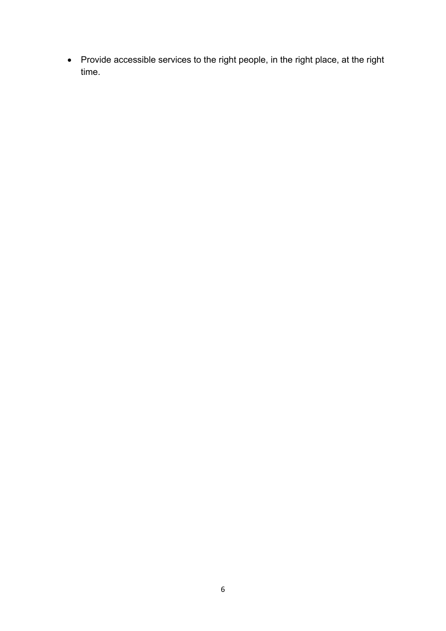Provide accessible services to the right people, in the right place, at the right time.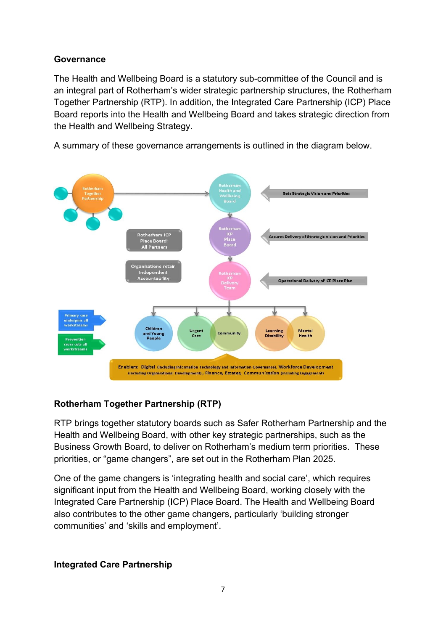# **Governance**

The Health and Wellbeing Board is a statutory sub-committee of the Council and is an integral part of Rotherham's wider strategic partnership structures, the Rotherham Together Partnership (RTP). In addition, the Integrated Care Partnership (ICP) Place Board reports into the Health and Wellbeing Board and takes strategic direction from the Health and Wellbeing Strategy.

A summary of these governance arrangements is outlined in the diagram below.



# **Rotherham Together Partnership (RTP)**

RTP brings together statutory boards such as Safer Rotherham Partnership and the Health and Wellbeing Board, with other key strategic partnerships, such as the Business Growth Board, to deliver on Rotherham's medium term priorities. These priorities, or "game changers", are set out in the Rotherham Plan 2025.

One of the game changers is 'integrating health and social care', which requires significant input from the Health and Wellbeing Board, working closely with the Integrated Care Partnership (ICP) Place Board. The Health and Wellbeing Board also contributes to the other game changers, particularly 'building stronger communities' and 'skills and employment'.

# **Integrated Care Partnership**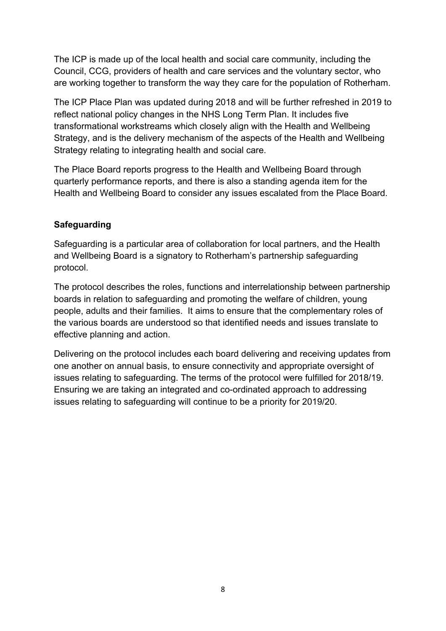The ICP is made up of the local health and social care community, including the Council, CCG, providers of health and care services and the voluntary sector, who are working together to transform the way they care for the population of Rotherham.

The ICP Place Plan was updated during 2018 and will be further refreshed in 2019 to reflect national policy changes in the NHS Long Term Plan. It includes five transformational workstreams which closely align with the Health and Wellbeing Strategy, and is the delivery mechanism of the aspects of the Health and Wellbeing Strategy relating to integrating health and social care.

The Place Board reports progress to the Health and Wellbeing Board through quarterly performance reports, and there is also a standing agenda item for the Health and Wellbeing Board to consider any issues escalated from the Place Board.

# **Safeguarding**

Safeguarding is a particular area of collaboration for local partners, and the Health and Wellbeing Board is a signatory to Rotherham's partnership safeguarding protocol.

The protocol describes the roles, functions and interrelationship between partnership boards in relation to safeguarding and promoting the welfare of children, young people, adults and their families. It aims to ensure that the complementary roles of the various boards are understood so that identified needs and issues translate to effective planning and action.

Delivering on the protocol includes each board delivering and receiving updates from one another on annual basis, to ensure connectivity and appropriate oversight of issues relating to safeguarding. The terms of the protocol were fulfilled for 2018/19. Ensuring we are taking an integrated and co-ordinated approach to addressing issues relating to safeguarding will continue to be a priority for 2019/20.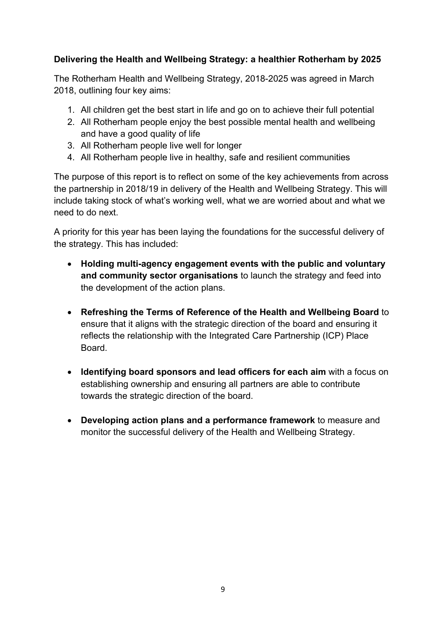# **Delivering the Health and Wellbeing Strategy: a healthier Rotherham by 2025**

The Rotherham Health and Wellbeing Strategy, 2018-2025 was agreed in March 2018, outlining four key aims:

- 1. All children get the best start in life and go on to achieve their full potential
- 2. All Rotherham people enjoy the best possible mental health and wellbeing and have a good quality of life
- 3. All Rotherham people live well for longer
- 4. All Rotherham people live in healthy, safe and resilient communities

The purpose of this report is to reflect on some of the key achievements from across the partnership in 2018/19 in delivery of the Health and Wellbeing Strategy. This will include taking stock of what's working well, what we are worried about and what we need to do next.

A priority for this year has been laying the foundations for the successful delivery of the strategy. This has included:

- **Holding multi-agency engagement events with the public and voluntary and community sector organisations** to launch the strategy and feed into the development of the action plans.
- **Refreshing the Terms of Reference of the Health and Wellbeing Board** to ensure that it aligns with the strategic direction of the board and ensuring it reflects the relationship with the Integrated Care Partnership (ICP) Place **Board**
- **Identifying board sponsors and lead officers for each aim** with a focus on establishing ownership and ensuring all partners are able to contribute towards the strategic direction of the board.
- **Developing action plans and a performance framework** to measure and monitor the successful delivery of the Health and Wellbeing Strategy.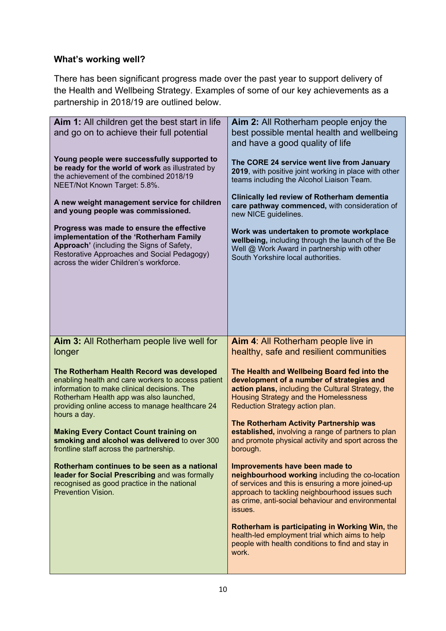# **What's working well?**

There has been significant progress made over the past year to support delivery of the Health and Wellbeing Strategy. Examples of some of our key achievements as a partnership in 2018/19 are outlined below.

| Aim 1: All children get the best start in life<br>and go on to achieve their full potential                                                                                                                                                                  | Aim 2: All Rotherham people enjoy the<br>best possible mental health and wellbeing<br>and have a good quality of life                                                                                                                                    |
|--------------------------------------------------------------------------------------------------------------------------------------------------------------------------------------------------------------------------------------------------------------|----------------------------------------------------------------------------------------------------------------------------------------------------------------------------------------------------------------------------------------------------------|
| Young people were successfully supported to<br>be ready for the world of work as illustrated by<br>the achievement of the combined 2018/19<br>NEET/Not Known Target: 5.8%.                                                                                   | The CORE 24 service went live from January<br>2019, with positive joint working in place with other<br>teams including the Alcohol Liaison Team.                                                                                                         |
| A new weight management service for children<br>and young people was commissioned.                                                                                                                                                                           | Clinically led review of Rotherham dementia<br>care pathway commenced, with consideration of<br>new NICE guidelines.                                                                                                                                     |
| Progress was made to ensure the effective<br>implementation of the 'Rotherham Family<br>Approach' (including the Signs of Safety,<br>Restorative Approaches and Social Pedagogy)<br>across the wider Children's workforce.                                   | Work was undertaken to promote workplace<br>wellbeing, including through the launch of the Be<br>Well @ Work Award in partnership with other<br>South Yorkshire local authorities.                                                                       |
| Aim 3: All Rotherham people live well for<br>longer                                                                                                                                                                                                          | Aim 4: All Rotherham people live in<br>healthy, safe and resilient communities                                                                                                                                                                           |
| The Rotherham Health Record was developed<br>enabling health and care workers to access patient<br>information to make clinical decisions. The<br>Rotherham Health app was also launched,<br>providing online access to manage healthcare 24<br>hours a day. | The Health and Wellbeing Board fed into the<br>development of a number of strategies and<br>action plans, including the Cultural Strategy, the<br>Housing Strategy and the Homelessness<br>Reduction Strategy action plan.                               |
| <b>Making Every Contact Count training on</b><br>smoking and alcohol was delivered to over 300<br>frontline staff across the partnership.                                                                                                                    | The Rotherham Activity Partnership was<br>established, involving a range of partners to plan<br>and promote physical activity and sport across the<br>borough.                                                                                           |
| Rotherham continues to be seen as a national<br>leader for Social Prescribing and was formally<br>recognised as good practice in the national<br><b>Prevention Vision.</b>                                                                                   | Improvements have been made to<br>neighbourhood working including the co-location<br>of services and this is ensuring a more joined-up<br>approach to tackling neighbourhood issues such<br>as crime, anti-social behaviour and environmental<br>issues. |
|                                                                                                                                                                                                                                                              | Rotherham is participating in Working Win, the<br>health-led employment trial which aims to help<br>people with health conditions to find and stay in<br>work.                                                                                           |
|                                                                                                                                                                                                                                                              |                                                                                                                                                                                                                                                          |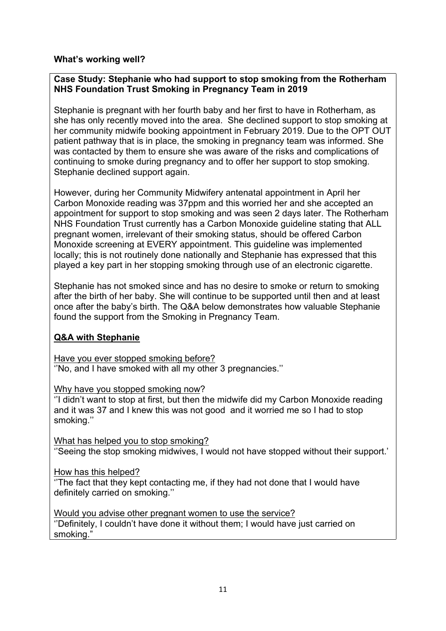#### **What's working well?**

#### **Case Study: Stephanie who had support to stop smoking from the Rotherham NHS Foundation Trust Smoking in Pregnancy Team in 2019**

Stephanie is pregnant with her fourth baby and her first to have in Rotherham, as she has only recently moved into the area. She declined support to stop smoking at her community midwife booking appointment in February 2019. Due to the OPT OUT patient pathway that is in place, the smoking in pregnancy team was informed. She was contacted by them to ensure she was aware of the risks and complications of continuing to smoke during pregnancy and to offer her support to stop smoking. Stephanie declined support again.

However, during her Community Midwifery antenatal appointment in April her Carbon Monoxide reading was 37ppm and this worried her and she accepted an appointment for support to stop smoking and was seen 2 days later. The Rotherham NHS Foundation Trust currently has a Carbon Monoxide guideline stating that ALL pregnant women, irrelevant of their smoking status, should be offered Carbon Monoxide screening at EVERY appointment. This guideline was implemented locally; this is not routinely done nationally and Stephanie has expressed that this played a key part in her stopping smoking through use of an electronic cigarette.

Stephanie has not smoked since and has no desire to smoke or return to smoking after the birth of her baby. She will continue to be supported until then and at least once after the baby's birth. The Q&A below demonstrates how valuable Stephanie found the support from the Smoking in Pregnancy Team.

## **Q&A with Stephanie**

Have you ever stopped smoking before? ''No, and I have smoked with all my other 3 pregnancies.''

Why have you stopped smoking now?

''I didn't want to stop at first, but then the midwife did my Carbon Monoxide reading and it was 37 and I knew this was not good and it worried me so I had to stop smoking.''

What has helped you to stop smoking? ''Seeing the stop smoking midwives, I would not have stopped without their support.'

How has this helped?

''The fact that they kept contacting me, if they had not done that I would have definitely carried on smoking.''

Would you advise other pregnant women to use the service? ''Definitely, I couldn't have done it without them; I would have just carried on smoking."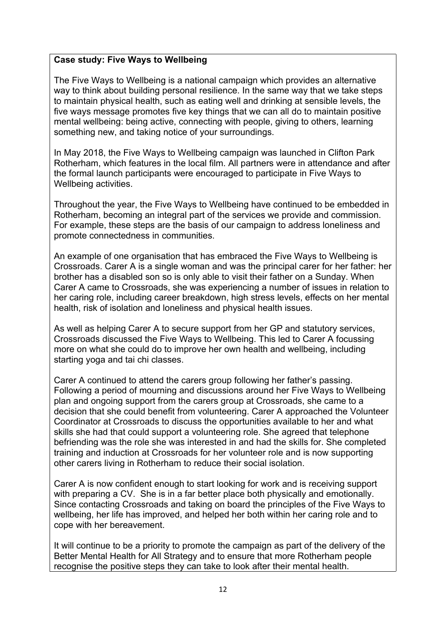#### **Case study: Five Ways to Wellbeing**

The Five Ways to Wellbeing is a national campaign which provides an alternative way to think about building personal resilience. In the same way that we take steps to maintain physical health, such as eating well and drinking at sensible levels, the five ways message promotes five key things that we can all do to maintain positive mental wellbeing: being active, connecting with people, giving to others, learning something new, and taking notice of your surroundings.

In May 2018, the Five Ways to Wellbeing campaign was launched in Clifton Park Rotherham, which features in the local film. All partners were in attendance and after the formal launch participants were encouraged to participate in Five Ways to Wellbeing activities.

Throughout the year, the Five Ways to Wellbeing have continued to be embedded in Rotherham, becoming an integral part of the services we provide and commission. For example, these steps are the basis of our campaign to address loneliness and promote connectedness in communities.

An example of one organisation that has embraced the Five Ways to Wellbeing is Crossroads. Carer A is a single woman and was the principal carer for her father: her brother has a disabled son so is only able to visit their father on a Sunday. When Carer A came to Crossroads, she was experiencing a number of issues in relation to her caring role, including career breakdown, high stress levels, effects on her mental health, risk of isolation and loneliness and physical health issues.

As well as helping Carer A to secure support from her GP and statutory services, Crossroads discussed the Five Ways to Wellbeing. This led to Carer A focussing more on what she could do to improve her own health and wellbeing, including starting yoga and tai chi classes.

Carer A continued to attend the carers group following her father's passing. Following a period of mourning and discussions around her Five Ways to Wellbeing plan and ongoing support from the carers group at Crossroads, she came to a decision that she could benefit from volunteering. Carer A approached the Volunteer Coordinator at Crossroads to discuss the opportunities available to her and what skills she had that could support a volunteering role. She agreed that telephone befriending was the role she was interested in and had the skills for. She completed training and induction at Crossroads for her volunteer role and is now supporting other carers living in Rotherham to reduce their social isolation.

Carer A is now confident enough to start looking for work and is receiving support with preparing a CV. She is in a far better place both physically and emotionally. Since contacting Crossroads and taking on board the principles of the Five Ways to wellbeing, her life has improved, and helped her both within her caring role and to cope with her bereavement.

It will continue to be a priority to promote the campaign as part of the delivery of the Better Mental Health for All Strategy and to ensure that more Rotherham people recognise the positive steps they can take to look after their mental health.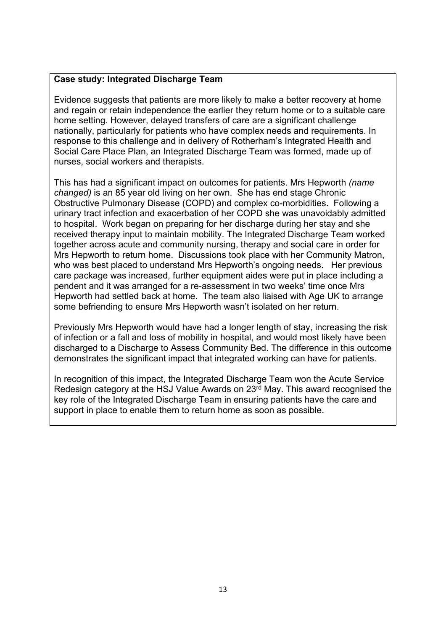#### **Case study: Integrated Discharge Team**

Evidence suggests that patients are more likely to make a better recovery at home and regain or retain independence the earlier they return home or to a suitable care home setting. However, delayed transfers of care are a significant challenge nationally, particularly for patients who have complex needs and requirements. In response to this challenge and in delivery of Rotherham's Integrated Health and Social Care Place Plan, an Integrated Discharge Team was formed, made up of nurses, social workers and therapists.

This has had a significant impact on outcomes for patients. Mrs Hepworth *(name changed)* is an 85 year old living on her own. She has end stage Chronic Obstructive Pulmonary Disease (COPD) and complex co-morbidities. Following a urinary tract infection and exacerbation of her COPD she was unavoidably admitted to hospital. Work began on preparing for her discharge during her stay and she received therapy input to maintain mobility. The Integrated Discharge Team worked together across acute and community nursing, therapy and social care in order for Mrs Hepworth to return home. Discussions took place with her Community Matron, who was best placed to understand Mrs Hepworth's ongoing needs. Her previous care package was increased, further equipment aides were put in place including a pendent and it was arranged for a re-assessment in two weeks' time once Mrs Hepworth had settled back at home. The team also liaised with Age UK to arrange some befriending to ensure Mrs Hepworth wasn't isolated on her return.

Previously Mrs Hepworth would have had a longer length of stay, increasing the risk of infection or a fall and loss of mobility in hospital, and would most likely have been discharged to a Discharge to Assess Community Bed. The difference in this outcome demonstrates the significant impact that integrated working can have for patients.

In recognition of this impact, the Integrated Discharge Team won the Acute Service Redesign category at the HSJ Value Awards on 23rd May. This award recognised the key role of the Integrated Discharge Team in ensuring patients have the care and support in place to enable them to return home as soon as possible.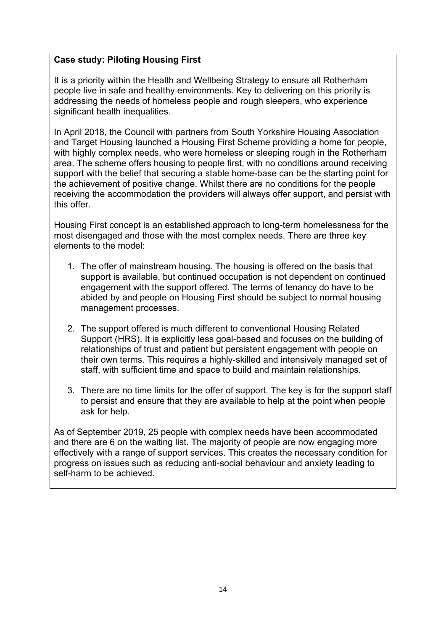# **Case study: Piloting Housing First**

It is a priority within the Health and Wellbeing Strategy to ensure all Rotherham people live in safe and healthy environments. Key to delivering on this priority is addressing the needs of homeless people and rough sleepers, who experience significant health inequalities.

In April 2018, the Council with partners from South Yorkshire Housing Association and Target Housing launched a Housing First Scheme providing a home for people, with highly complex needs, who were homeless or sleeping rough in the Rotherham area. The scheme offers housing to people first, with no conditions around receiving support with the belief that securing a stable home-base can be the starting point for the achievement of positive change. Whilst there are no conditions for the people receiving the accommodation the providers will always offer support, and persist with this offer.

Housing First concept is an established approach to long-term homelessness for the most disengaged and those with the most complex needs. There are three key elements to the model:

- 1. The offer of mainstream housing. The housing is offered on the basis that support is available, but continued occupation is not dependent on continued engagement with the support offered. The terms of tenancy do have to be abided by and people on Housing First should be subject to normal housing management processes.
- 2. The support offered is much different to conventional Housing Related Support (HRS). It is explicitly less goal-based and focuses on the building of relationships of trust and patient but persistent engagement with people on their own terms. This requires a highly-skilled and intensively managed set of staff, with sufficient time and space to build and maintain relationships.
- 3. There are no time limits for the offer of support. The key is for the support staff to persist and ensure that they are available to help at the point when people ask for help.

As of September 2019, 25 people with complex needs have been accommodated and there are 6 on the waiting list. The majority of people are now engaging more effectively with a range of support services. This creates the necessary condition for progress on issues such as reducing anti-social behaviour and anxiety leading to self-harm to be achieved.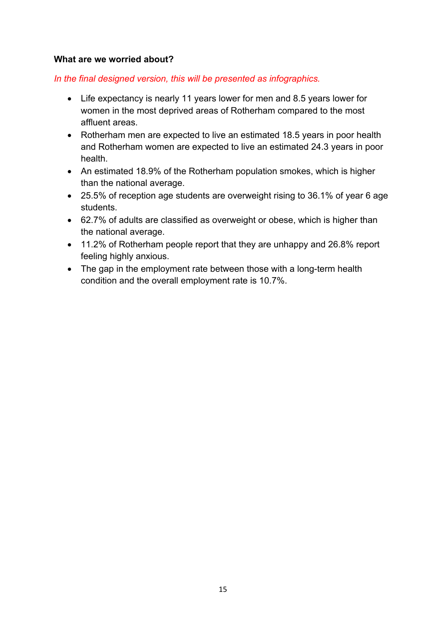#### **What are we worried about?**

#### *In the final designed version, this will be presented as infographics.*

- Life expectancy is nearly 11 years lower for men and 8.5 years lower for women in the most deprived areas of Rotherham compared to the most affluent areas.
- Rotherham men are expected to live an estimated 18.5 years in poor health and Rotherham women are expected to live an estimated 24.3 years in poor health.
- An estimated 18.9% of the Rotherham population smokes, which is higher than the national average.
- 25.5% of reception age students are overweight rising to 36.1% of year 6 age students.
- 62.7% of adults are classified as overweight or obese, which is higher than the national average.
- 11.2% of Rotherham people report that they are unhappy and 26.8% report feeling highly anxious.
- The gap in the employment rate between those with a long-term health condition and the overall employment rate is 10.7%.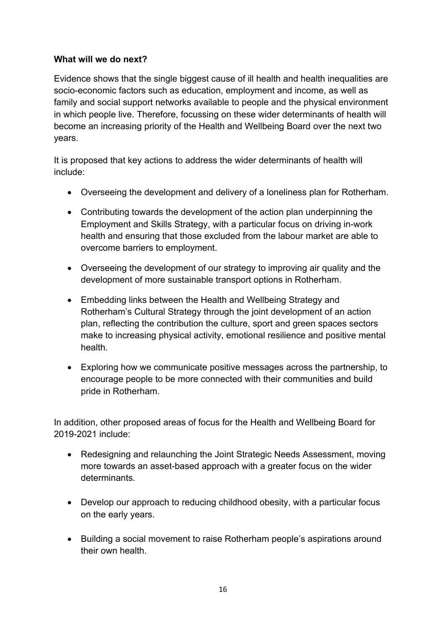# **What will we do next?**

Evidence shows that the single biggest cause of ill health and health inequalities are socio-economic factors such as education, employment and income, as well as family and social support networks available to people and the physical environment in which people live. Therefore, focussing on these wider determinants of health will become an increasing priority of the Health and Wellbeing Board over the next two years.

It is proposed that key actions to address the wider determinants of health will include:

- Overseeing the development and delivery of a loneliness plan for Rotherham.
- Contributing towards the development of the action plan underpinning the Employment and Skills Strategy, with a particular focus on driving in-work health and ensuring that those excluded from the labour market are able to overcome barriers to employment.
- Overseeing the development of our strategy to improving air quality and the development of more sustainable transport options in Rotherham.
- Embedding links between the Health and Wellbeing Strategy and Rotherham's Cultural Strategy through the joint development of an action plan, reflecting the contribution the culture, sport and green spaces sectors make to increasing physical activity, emotional resilience and positive mental health.
- Exploring how we communicate positive messages across the partnership, to encourage people to be more connected with their communities and build pride in Rotherham.

In addition, other proposed areas of focus for the Health and Wellbeing Board for 2019-2021 include:

- Redesigning and relaunching the Joint Strategic Needs Assessment, moving more towards an asset-based approach with a greater focus on the wider determinants.
- Develop our approach to reducing childhood obesity, with a particular focus on the early years.
- Building a social movement to raise Rotherham people's aspirations around their own health.